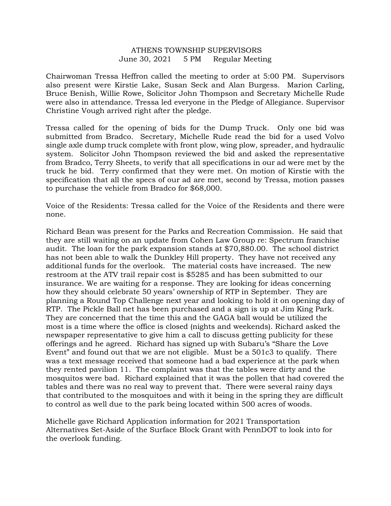## ATHENS TOWNSHIP SUPERVISORS June 30, 2021 5 PM Regular Meeting

Chairwoman Tressa Heffron called the meeting to order at 5:00 PM. Supervisors also present were Kirstie Lake, Susan Seck and Alan Burgess. Marion Carling, Bruce Benish, Willie Rowe, Solicitor John Thompson and Secretary Michelle Rude were also in attendance. Tressa led everyone in the Pledge of Allegiance. Supervisor Christine Vough arrived right after the pledge.

Tressa called for the opening of bids for the Dump Truck. Only one bid was submitted from Bradco. Secretary, Michelle Rude read the bid for a used Volvo single axle dump truck complete with front plow, wing plow, spreader, and hydraulic system. Solicitor John Thompson reviewed the bid and asked the representative from Bradco, Terry Sheets, to verify that all specifications in our ad were met by the truck he bid. Terry confirmed that they were met. On motion of Kirstie with the specification that all the specs of our ad are met, second by Tressa, motion passes to purchase the vehicle from Bradco for \$68,000.

Voice of the Residents: Tressa called for the Voice of the Residents and there were none.

Richard Bean was present for the Parks and Recreation Commission. He said that they are still waiting on an update from Cohen Law Group re: Spectrum franchise audit. The loan for the park expansion stands at \$70,880.00. The school district has not been able to walk the Dunkley Hill property. They have not received any additional funds for the overlook. The material costs have increased. The new restroom at the ATV trail repair cost is \$5285 and has been submitted to our insurance. We are waiting for a response. They are looking for ideas concerning how they should celebrate 50 years' ownership of RTP in September. They are planning a Round Top Challenge next year and looking to hold it on opening day of RTP. The Pickle Ball net has been purchased and a sign is up at Jim King Park. They are concerned that the time this and the GAGA ball would be utilized the most is a time where the office is closed (nights and weekends). Richard asked the newspaper representative to give him a call to discuss getting publicity for these offerings and he agreed. Richard has signed up with Subaru's "Share the Love Event" and found out that we are not eligible. Must be a 501c3 to qualify. There was a text message received that someone had a bad experience at the park when they rented pavilion 11. The complaint was that the tables were dirty and the mosquitos were bad. Richard explained that it was the pollen that had covered the tables and there was no real way to prevent that. There were several rainy days that contributed to the mosquitoes and with it being in the spring they are difficult to control as well due to the park being located within 500 acres of woods.

Michelle gave Richard Application information for 2021 Transportation Alternatives Set-Aside of the Surface Block Grant with PennDOT to look into for the overlook funding.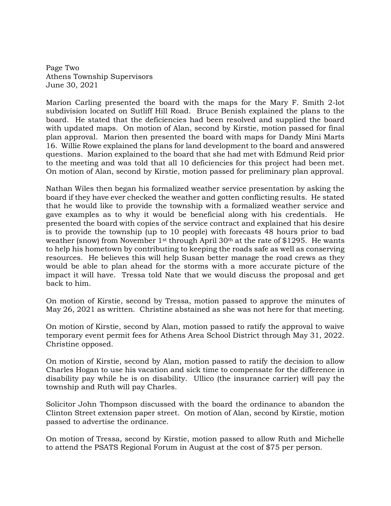Page Two Athens Township Supervisors June 30, 2021

Marion Carling presented the board with the maps for the Mary F. Smith 2-lot subdivision located on Sutliff Hill Road. Bruce Benish explained the plans to the board. He stated that the deficiencies had been resolved and supplied the board with updated maps. On motion of Alan, second by Kirstie, motion passed for final plan approval. Marion then presented the board with maps for Dandy Mini Marts 16. Willie Rowe explained the plans for land development to the board and answered questions. Marion explained to the board that she had met with Edmund Reid prior to the meeting and was told that all 10 deficiencies for this project had been met. On motion of Alan, second by Kirstie, motion passed for preliminary plan approval.

Nathan Wiles then began his formalized weather service presentation by asking the board if they have ever checked the weather and gotten conflicting results. He stated that he would like to provide the township with a formalized weather service and gave examples as to why it would be beneficial along with his credentials. He presented the board with copies of the service contract and explained that his desire is to provide the township (up to 10 people) with forecasts 48 hours prior to bad weather (snow) from November 1<sup>st</sup> through April 30<sup>th</sup> at the rate of \$1295. He wants to help his hometown by contributing to keeping the roads safe as well as conserving resources. He believes this will help Susan better manage the road crews as they would be able to plan ahead for the storms with a more accurate picture of the impact it will have. Tressa told Nate that we would discuss the proposal and get back to him.

On motion of Kirstie, second by Tressa, motion passed to approve the minutes of May 26, 2021 as written. Christine abstained as she was not here for that meeting.

On motion of Kirstie, second by Alan, motion passed to ratify the approval to waive temporary event permit fees for Athens Area School District through May 31, 2022. Christine opposed.

On motion of Kirstie, second by Alan, motion passed to ratify the decision to allow Charles Hogan to use his vacation and sick time to compensate for the difference in disability pay while he is on disability. Ullico (the insurance carrier) will pay the township and Ruth will pay Charles.

Solicitor John Thompson discussed with the board the ordinance to abandon the Clinton Street extension paper street. On motion of Alan, second by Kirstie, motion passed to advertise the ordinance.

On motion of Tressa, second by Kirstie, motion passed to allow Ruth and Michelle to attend the PSATS Regional Forum in August at the cost of \$75 per person.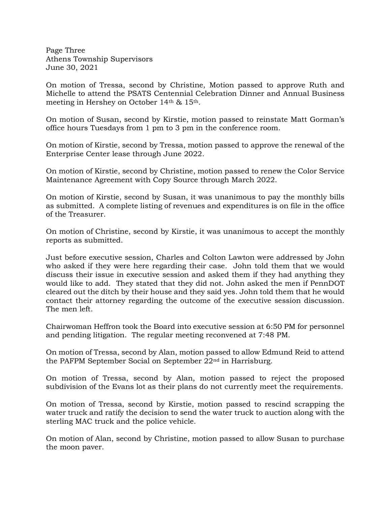Page Three Athens Township Supervisors June 30, 2021

On motion of Tressa, second by Christine, Motion passed to approve Ruth and Michelle to attend the PSATS Centennial Celebration Dinner and Annual Business meeting in Hershey on October 14th & 15th.

On motion of Susan, second by Kirstie, motion passed to reinstate Matt Gorman's office hours Tuesdays from 1 pm to 3 pm in the conference room.

On motion of Kirstie, second by Tressa, motion passed to approve the renewal of the Enterprise Center lease through June 2022.

On motion of Kirstie, second by Christine, motion passed to renew the Color Service Maintenance Agreement with Copy Source through March 2022.

On motion of Kirstie, second by Susan, it was unanimous to pay the monthly bills as submitted. A complete listing of revenues and expenditures is on file in the office of the Treasurer.

On motion of Christine, second by Kirstie, it was unanimous to accept the monthly reports as submitted.

Just before executive session, Charles and Colton Lawton were addressed by John who asked if they were here regarding their case. John told them that we would discuss their issue in executive session and asked them if they had anything they would like to add. They stated that they did not. John asked the men if PennDOT cleared out the ditch by their house and they said yes. John told them that he would contact their attorney regarding the outcome of the executive session discussion. The men left.

Chairwoman Heffron took the Board into executive session at 6:50 PM for personnel and pending litigation. The regular meeting reconvened at 7:48 PM.

On motion of Tressa, second by Alan, motion passed to allow Edmund Reid to attend the PAFPM September Social on September 22nd in Harrisburg.

On motion of Tressa, second by Alan, motion passed to reject the proposed subdivision of the Evans lot as their plans do not currently meet the requirements.

On motion of Tressa, second by Kirstie, motion passed to rescind scrapping the water truck and ratify the decision to send the water truck to auction along with the sterling MAC truck and the police vehicle.

On motion of Alan, second by Christine, motion passed to allow Susan to purchase the moon paver.